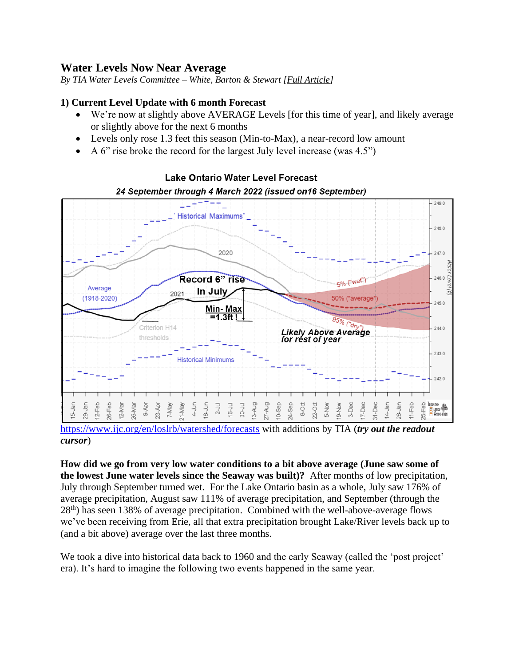# **Water Levels Now Near Average**

*By TIA Water Levels Committee – White, Barton & Stewart [Full Article]*

### **1) Current Level Update with 6 month Forecast**

- We're now at slightly above AVERAGE Levels [for this time of year], and likely average or slightly above for the next 6 months
- Levels only rose 1.3 feet this season (Min-to-Max), a near-record low amount
- A 6" rise broke the record for the largest July level increase (was 4.5")



## Lake Ontario Water Level Forecast 24 September through 4 March 2022 (issued on 16 September)

<https://www.ijc.org/en/loslrb/watershed/forecasts> with additions by TIA (*try out the readout cursor*)

**How did we go from very low water conditions to a bit above average (June saw some of the lowest June water levels since the Seaway was built)?** After months of low precipitation, July through September turned wet. For the Lake Ontario basin as a whole, July saw 176% of average precipitation, August saw 111% of average precipitation, and September (through the  $28<sup>th</sup>$ ) has seen 138% of average precipitation. Combined with the well-above-average flows we've been receiving from Erie, all that extra precipitation brought Lake/River levels back up to (and a bit above) average over the last three months.

We took a dive into historical data back to 1960 and the early Seaway (called the 'post project' era). It's hard to imagine the following two events happened in the same year.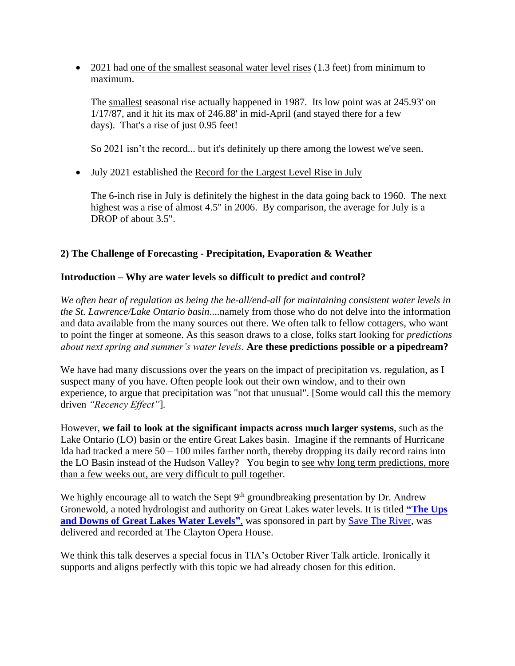• 2021 had one of the smallest seasonal water level rises (1.3 feet) from minimum to maximum.

The smallest seasonal rise actually happened in 1987. Its low point was at 245.93' on 1/17/87, and it hit its max of 246.88' in mid-April (and stayed there for a few days). That's a rise of just 0.95 feet!

So 2021 isn't the record... but it's definitely up there among the lowest we've seen.

• July 2021 established the Record for the Largest Level Rise in July

The 6-inch rise in July is definitely the highest in the data going back to 1960. The next highest was a rise of almost 4.5" in 2006. By comparison, the average for July is a DROP of about 3.5".

### **2) The Challenge of Forecasting - Precipitation, Evaporation & Weather**

#### **Introduction – Why are water levels so difficult to predict and control?**

*We often hear of regulation as being the be-all/end-all for maintaining consistent water levels in the St. Lawrence/Lake Ontario basin*....namely from those who do not delve into the information and data available from the many sources out there. We often talk to fellow cottagers, who want to point the finger at someone. As this season draws to a close, folks start looking for *predictions about next spring and summer's water levels*. **Are these predictions possible or a pipedream?**

We have had many discussions over the years on the impact of precipitation vs. regulation, as I suspect many of you have. Often people look out their own window, and to their own experience, to argue that precipitation was "not that unusual". [Some would call this the memory driven *"Recency Effect"*]*.* 

However, **we fail to look at the significant impacts across much larger systems**, such as the Lake Ontario (LO) basin or the entire Great Lakes basin. Imagine if the remnants of Hurricane Ida had tracked a mere  $50 - 100$  miles farther north, thereby dropping its daily record rains into the LO Basin instead of the Hudson Valley? You begin to see why long term predictions, more than a few weeks out, are very difficult to pull together.

We highly encourage all to watch the Sept 9<sup>th</sup> groundbreaking presentation by Dr. Andrew Gronewold, a noted hydrologist and authority on Great Lakes water levels. It is titled **["The Ups](https://www.youtube.com/watch?v=cQqE4Hb0pdc)  [and Downs of Great Lakes Water Levels"](https://www.youtube.com/watch?v=cQqE4Hb0pdc)**, was sponsored in part by [Save The River,](https://www.savetheriver.org/) was delivered and recorded at The Clayton Opera House.

We think this talk deserves a special focus in TIA's October River Talk article. Ironically it supports and aligns perfectly with this topic we had already chosen for this edition.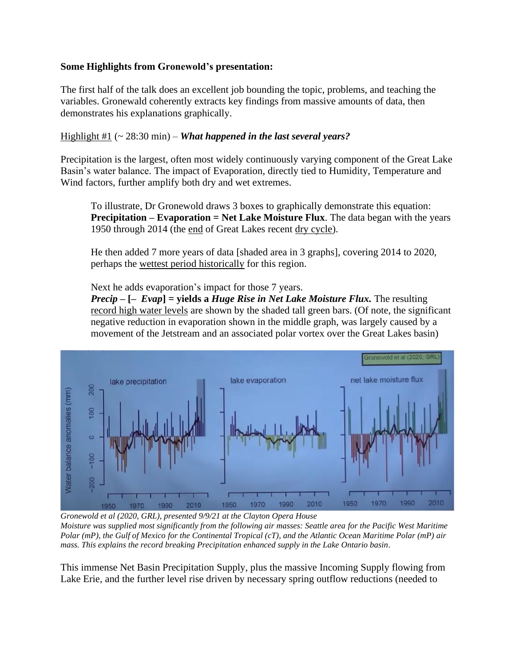### **Some Highlights from Gronewold's presentation:**

The first half of the talk does an excellent job bounding the topic, problems, and teaching the variables. Gronewald coherently extracts key findings from massive amounts of data, then demonstrates his explanations graphically.

Highlight #1 (~ 28:30 min) – *What happened in the last several years?*

Precipitation is the largest, often most widely continuously varying component of the Great Lake Basin's water balance. The impact of Evaporation, directly tied to Humidity, Temperature and Wind factors, further amplify both dry and wet extremes.

To illustrate, Dr Gronewold draws 3 boxes to graphically demonstrate this equation: **Precipitation – Evaporation = Net Lake Moisture Flux**. The data began with the years 1950 through 2014 (the end of Great Lakes recent dry cycle).

He then added 7 more years of data [shaded area in 3 graphs], covering 2014 to 2020, perhaps the wettest period historically for this region.

Next he adds evaporation's impact for those 7 years.

*Precip* **– [–** *Evap***] = yields a** *Huge Rise in Net Lake Moisture Flux.* The resulting record high water levels are shown by the shaded tall green bars. (Of note, the significant negative reduction in evaporation shown in the middle graph, was largely caused by a movement of the Jetstream and an associated polar vortex over the Great Lakes basin)



*Gronewold et al (2020, GRL), presented 9/9/21 at the Clayton Opera House Moisture was supplied most significantly from the following air masses: Seattle area for the Pacific West Maritime Polar (mP), the Gulf of Mexico for the Continental Tropical (cT), and the Atlantic Ocean Maritime Polar (mP) air mass. This explains the record breaking Precipitation enhanced supply in the Lake Ontario basin.* 

This immense Net Basin Precipitation Supply, plus the massive Incoming Supply flowing from Lake Erie, and the further level rise driven by necessary spring outflow reductions (needed to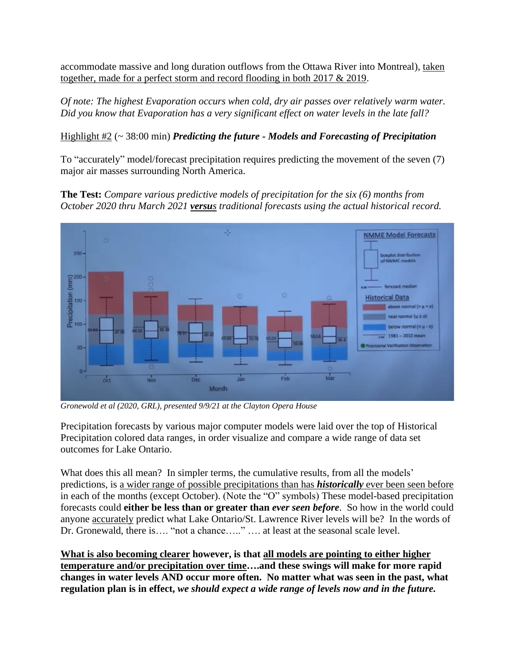accommodate massive and long duration outflows from the Ottawa River into Montreal), taken together, made for a perfect storm and record flooding in both 2017 & 2019.

*Of note: The highest Evaporation occurs when cold, dry air passes over relatively warm water. Did you know that Evaporation has a very significant effect on water levels in the late fall?*

## Highlight #2 (~ 38:00 min) *Predicting the future - Models and Forecasting of Precipitation*

To "accurately" model/forecast precipitation requires predicting the movement of the seven (7) major air masses surrounding North America.

**The Test:** *Compare various predictive models of precipitation for the six (6) months from October 2020 thru March 2021 versus traditional forecasts using the actual historical record.*



*Gronewold et al (2020, GRL), presented 9/9/21 at the Clayton Opera House*

Precipitation forecasts by various major computer models were laid over the top of Historical Precipitation colored data ranges, in order visualize and compare a wide range of data set outcomes for Lake Ontario.

What does this all mean? In simpler terms, the cumulative results, from all the models' predictions, is a wider range of possible precipitations than has *historically* ever been seen before in each of the months (except October). (Note the "O" symbols) These model-based precipitation forecasts could **either be less than or greater than** *ever seen before*. So how in the world could anyone accurately predict what Lake Ontario/St. Lawrence River levels will be? In the words of Dr. Gronewald, there is…. "not a chance….." …. at least at the seasonal scale level.

**What is also becoming clearer however, is that all models are pointing to either higher temperature and/or precipitation over time….and these swings will make for more rapid changes in water levels AND occur more often. No matter what was seen in the past, what regulation plan is in effect,** *we should expect a wide range of levels now and in the future.*